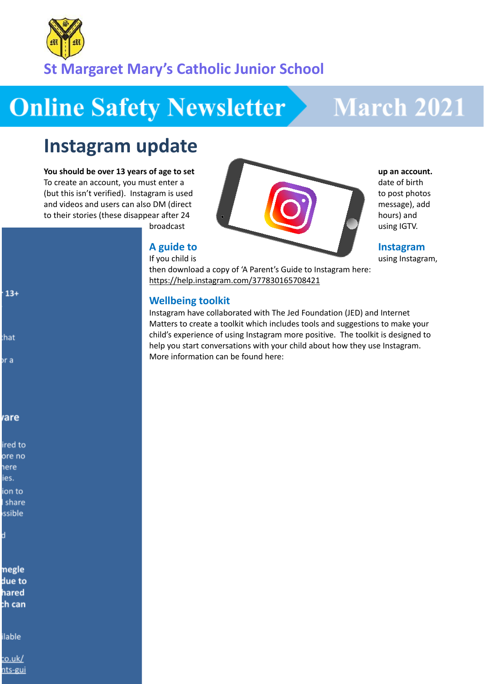

# **Online Safety Newsletter**

## **March 2021**

### **Instagram update**

#### **You should be over 13 years of age to set up an account.**

To create an account, you must enter a date of birth (but this isn't verified). Instagram is used to post photos to post photos and videos and users can also DM (direct message), add to their stories (these disappear after 24 hours) and

broadcast using IGTV.

If you child is using Instagram,

then download a copy of 'A Parent's Guide to Instagram here: <https://help.instagram.com/377830165708421>

### **Wellbeing toolkit**

Instagram have collaborated with The Jed Foundation (JED) and Internet Matters to create a toolkit which includes tools and suggestions to make your child's experience of using Instagram more positive. The toolkit is designed to help you start conversations with your child about how they use Instagram. More information can be found here:

**A** guide to **Instagram** 

- $13+$
- that
- or a
- 

### rare

ired to ore no here ies. ion to share ssible

negle due to hared ch can

ilable

<u>co.uk/</u> nts-gui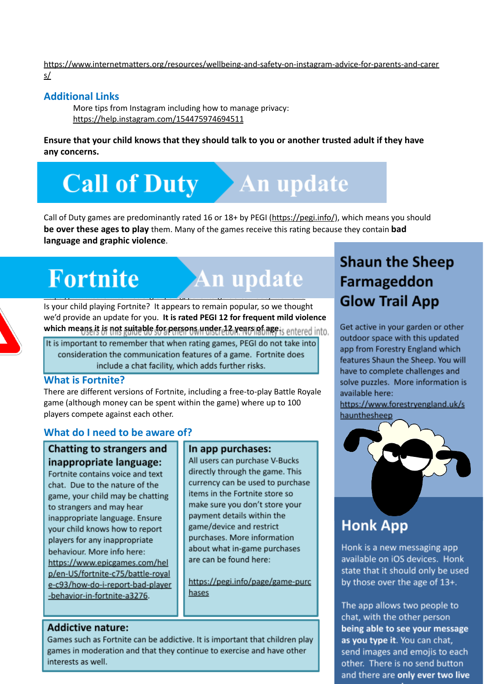[https://www.internetmatters.org/resources/wellbeing-and-safety-on-instagram-advice-for-parents-and-carer](https://www.internetmatters.org/resources/wellbeing-and-safety-on-instagram-advice-for-parents-and-carers/) [s/](https://www.internetmatters.org/resources/wellbeing-and-safety-on-instagram-advice-for-parents-and-carers/)

### **Additional Links**

More tips from Instagram including how to manage privacy: <https://help.instagram.com/154475974694511>

**Ensure that your child knows that they should talk to you or another trusted adult if they have any concerns.**

# **Call of Duty** An update

Call of Duty games are predominantly rated 16 or 18+ by PEGI (<https://pegi.info/>), which means you should **be over these ages to play** them. Many of the games receive this rating because they contain **bad language and graphic violence**.

# You should also be aware of in app purchases and in game chat.

### Fortnite An update

<https://www.saferinternet.org.uk/blog/parents-guide-call-duty-warzone> Is your child playing Fortnite? It appears to remain popular, so we thought we'd provide an update for you. **It is rated PEGI 12 for frequent mild violence which means it is not suitable for persons under 12 years of age.**

It is important to remember that when rating games, PEGI do not take into consideration the communication features of a game. Fortnite does include a chat facility, which adds further risks.

### **What is Fortnite?**

There are different versions of Fortnite, including a free-to-play Battle Royale game (although money can be spent within the game) where up to 100 players compete against each other.

### **What do I need to be aware of?**

Chatting to strangers and inappropriate language:

Fortnite contains voice and text chat. Due to the nature of the game, your child may be chatting to strangers and may hear inappropriate language. Ensure your child knows how to report players for any inappropriate behaviour. More info here: https://www.epicgames.com/hel p/en-US/fortnite-c75/battle-royal e-c93/how-do-i-report-bad-player -behavior-in-fortnite-a3276.

### In app purchases:

All users can purchase V-Bucks directly through the game. This currency can be used to purchase items in the Fortnite store so make sure you don't store your payment details within the game/device and restrict purchases. More information about what in-game purchases are can be found here:

https://pegi.info/page/game-purc hases

### **Addictive nature:**

Games such as Fortnite can be addictive. It is important that children play games in moderation and that they continue to exercise and have other interests as well.

### **Shaun the Sheep Farmageddon Glow Trail App**

Get active in your garden or other outdoor space with this updated app from Forestry England which features Shaun the Sheep. You will have to complete challenges and solve puzzles. More information is available here:

https://www.forestryengland.uk/s haunthesheep



### **Honk App**

Honk is a new messaging app available on iOS devices. Honk state that it should only be used by those over the age of 13+.

The app allows two people to chat, with the other person being able to see your message as you type it. You can chat, send images and emojis to each other. There is no send button and there are only ever two live